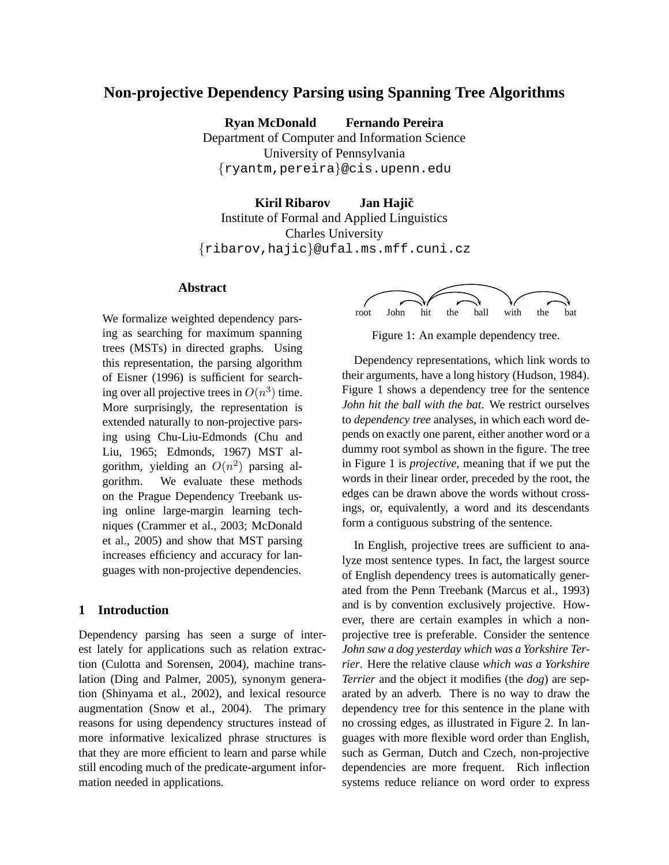# **Non-projective Dependency Parsing using Spanning Tree Algorithms**

**Ryan McDonald Fernando Pereira**

Department of Computer and Information Science University of Pennsylvania {ryantm,pereira}@cis.upenn.edu

**Kiril Ribarov Jan Hajicˇ** Institute of Formal and Applied Linguistics Charles University {ribarov,hajic}@ufal.ms.mff.cuni.cz

## **Abstract**

We formalize weighted dependency parsing as searching for maximum spanning trees (MSTs) in directed graphs. Using this representation, the parsing algorithm of Eisner (1996) is sufficient for searching over all projective trees in  $O(n^3)$  time. More surprisingly, the representation is extended naturally to non-projective parsing using Chu-Liu-Edmonds (Chu and Liu, 1965; Edmonds, 1967) MST algorithm, yielding an  $O(n^2)$  parsing algorithm. We evaluate these methods on the Prague Dependency Treebank using online large-margin learning techniques (Crammer et al., 2003; McDonald et al., 2005) and show that MST parsing increases efficiency and accuracy for languages with non-projective dependencies.

## **1 Introduction**

Dependency parsing has seen a surge of interest lately for applications such as relation extraction (Culotta and Sorensen, 2004), machine translation (Ding and Palmer, 2005), synonym generation (Shinyama et al., 2002), and lexical resource augmentation (Snow et al., 2004). The primary reasons for using dependency structures instead of more informative lexicalized phrase structures is that they are more efficient to learn and parse while still encoding much of the predicate-argument information needed in applications.



Figure 1: An example dependency tree.

Dependency representations, which link words to their arguments, have a long history (Hudson, 1984). Figure 1 shows a dependency tree for the sentence *John hit the ball with the bat*. We restrict ourselves to *dependency tree* analyses, in which each word depends on exactly one parent, either another word or a dummy root symbol as shown in the figure. The tree in Figure 1 is *projective*, meaning that if we put the words in their linear order, preceded by the root, the edges can be drawn above the words without crossings, or, equivalently, a word and its descendants form a contiguous substring of the sentence.

In English, projective trees are sufficient to analyze most sentence types. In fact, the largest source of English dependency trees is automatically generated from the Penn Treebank (Marcus et al., 1993) and is by convention exclusively projective. However, there are certain examples in which a nonprojective tree is preferable. Consider the sentence *John saw a dog yesterday which was a Yorkshire Terrier*. Here the relative clause *which was a Yorkshire Terrier* and the object it modifies (the *dog*) are separated by an adverb. There is no way to draw the dependency tree for this sentence in the plane with no crossing edges, as illustrated in Figure 2. In languages with more flexible word order than English, such as German, Dutch and Czech, non-projective dependencies are more frequent. Rich inflection systems reduce reliance on word order to express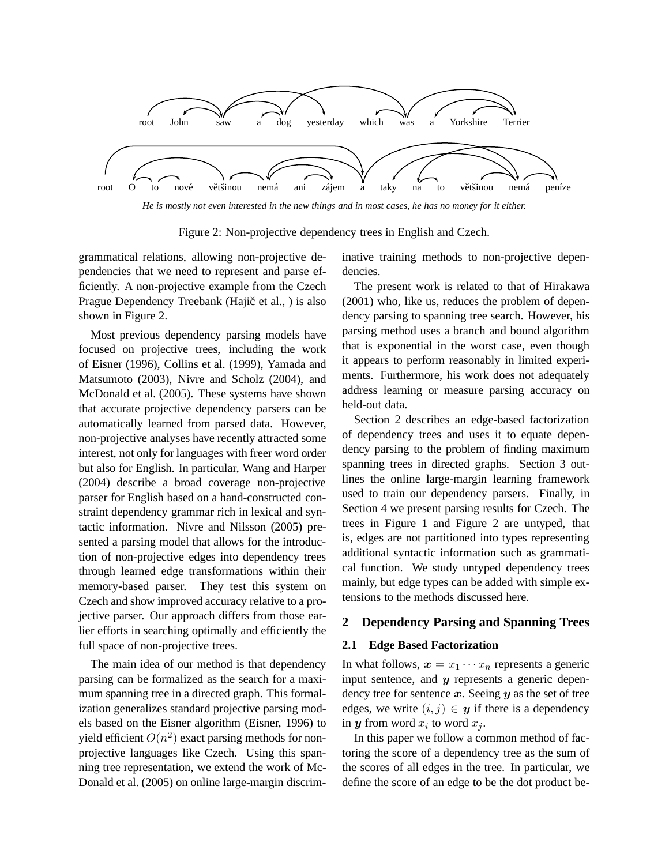

*He is mostly not even interested in the new things and in most cases, he has no money for it either.*

Figure 2: Non-projective dependency trees in English and Czech.

grammatical relations, allowing non-projective dependencies that we need to represent and parse efficiently. A non-projective example from the Czech Prague Dependency Treebank (Hajič et al., ) is also shown in Figure 2.

Most previous dependency parsing models have focused on projective trees, including the work of Eisner (1996), Collins et al. (1999), Yamada and Matsumoto (2003), Nivre and Scholz (2004), and McDonald et al. (2005). These systems have shown that accurate projective dependency parsers can be automatically learned from parsed data. However, non-projective analyses have recently attracted some interest, not only for languages with freer word order but also for English. In particular, Wang and Harper (2004) describe a broad coverage non-projective parser for English based on a hand-constructed constraint dependency grammar rich in lexical and syntactic information. Nivre and Nilsson (2005) presented a parsing model that allows for the introduction of non-projective edges into dependency trees through learned edge transformations within their memory-based parser. They test this system on Czech and show improved accuracy relative to a projective parser. Our approach differs from those earlier efforts in searching optimally and efficiently the full space of non-projective trees.

The main idea of our method is that dependency parsing can be formalized as the search for a maximum spanning tree in a directed graph. This formalization generalizes standard projective parsing models based on the Eisner algorithm (Eisner, 1996) to yield efficient  $O(n^2)$  exact parsing methods for nonprojective languages like Czech. Using this spanning tree representation, we extend the work of Mc-Donald et al. (2005) on online large-margin discriminative training methods to non-projective dependencies.

The present work is related to that of Hirakawa (2001) who, like us, reduces the problem of dependency parsing to spanning tree search. However, his parsing method uses a branch and bound algorithm that is exponential in the worst case, even though it appears to perform reasonably in limited experiments. Furthermore, his work does not adequately address learning or measure parsing accuracy on held-out data.

Section 2 describes an edge-based factorization of dependency trees and uses it to equate dependency parsing to the problem of finding maximum spanning trees in directed graphs. Section 3 outlines the online large-margin learning framework used to train our dependency parsers. Finally, in Section 4 we present parsing results for Czech. The trees in Figure 1 and Figure 2 are untyped, that is, edges are not partitioned into types representing additional syntactic information such as grammatical function. We study untyped dependency trees mainly, but edge types can be added with simple extensions to the methods discussed here.

## **2 Dependency Parsing and Spanning Trees**

#### **2.1 Edge Based Factorization**

In what follows,  $x = x_1 \cdots x_n$  represents a generic input sentence, and  $y$  represents a generic dependency tree for sentence  $x$ . Seeing  $y$  as the set of tree edges, we write  $(i, j) \in y$  if there is a dependency in  $y$  from word  $x_i$  to word  $x_j$ .

In this paper we follow a common method of factoring the score of a dependency tree as the sum of the scores of all edges in the tree. In particular, we define the score of an edge to be the dot product be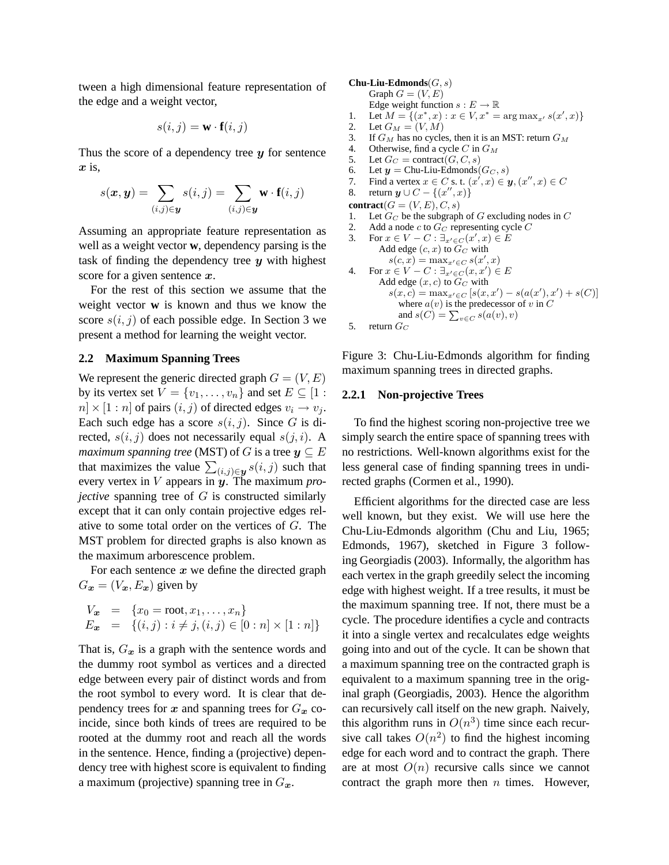tween a high dimensional feature representation of the edge and a weight vector,

$$
s(i,j) = \mathbf{w} \cdot \mathbf{f}(i,j)
$$

Thus the score of a dependency tree  $y$  for sentence  $x$  is,

$$
s(\boldsymbol{x},\boldsymbol{y}) = \sum_{(i,j)\in\boldsymbol{y}} s(i,j) = \sum_{(i,j)\in\boldsymbol{y}} \mathbf{w} \cdot \mathbf{f}(i,j)
$$

Assuming an appropriate feature representation as well as a weight vector **w**, dependency parsing is the task of finding the dependency tree  $y$  with highest score for a given sentence  $x$ .

For the rest of this section we assume that the weight vector **w** is known and thus we know the score  $s(i, j)$  of each possible edge. In Section 3 we present a method for learning the weight vector.

## **2.2 Maximum Spanning Trees**

We represent the generic directed graph  $G = (V, E)$ by its vertex set  $V = \{v_1, \ldots, v_n\}$  and set  $E \subseteq [1 :$  $n \times [1:n]$  of pairs  $(i, j)$  of directed edges  $v_i \rightarrow v_j$ . Each such edge has a score  $s(i, j)$ . Since G is directed,  $s(i, j)$  does not necessarily equal  $s(j, i)$ . A *maximum spanning tree* (MST) of G is a tree  $y \subseteq E$ that maximizes the value  $\sum_{(i,j)\in\mathbf{y}} s(i,j)$  such that every vertex in V appears in y. The maximum *projective* spanning tree of G is constructed similarly except that it can only contain projective edges relative to some total order on the vertices of G. The MST problem for directed graphs is also known as the maximum arborescence problem.

For each sentence  $x$  we define the directed graph  $G_x = (V_x, E_x)$  given by

$$
V_{\bm{x}} = \{x_0 = \text{root}, x_1, \dots, x_n\}
$$
  
\n
$$
E_{\bm{x}} = \{(i, j) : i \neq j, (i, j) \in [0 : n] \times [1 : n]\}
$$

That is,  $G_x$  is a graph with the sentence words and the dummy root symbol as vertices and a directed edge between every pair of distinct words and from the root symbol to every word. It is clear that dependency trees for x and spanning trees for  $G_x$  coincide, since both kinds of trees are required to be rooted at the dummy root and reach all the words in the sentence. Hence, finding a (projective) dependency tree with highest score is equivalent to finding a maximum (projective) spanning tree in  $G_{\boldsymbol{x}}$ .

#### **Chu-Liu-Edmonds**(G, s)

```
Graph G = (V, E)
```
- Edge weight function  $s: E \to \mathbb{R}$
- 1. Let  $M = \{(x^*, x) : x \in V, x^* = \arg \max_{x'} s(x', x)\}\$
- 2. Let  $G_M = (V, M)$
- 3. If  $G_M$  has no cycles, then it is an MST: return  $G_M$
- 4. Otherwise, find a cycle C in  $G_M$
- 5. Let  $G_C = \text{contract}(G, C, s)$
- 6. Let  $y =$  Chu-Liu-Edmonds  $(G_C, s)$
- 7. Find a vertex  $x \in C$  s. t.  $(x', x) \in \mathbf{y}, (x'', x) \in C$
- 8. return  $y \cup C \{(x'', x)\}\)$
- **contract** $(G = (V, E), C, s)$
- 1. Let  $G_C$  be the subgraph of G excluding nodes in C<br>2. Add a node c to  $G_C$  representing cycle C
- Add a node  $c$  to  $G_C$  representing cycle  $C$

\n- 3. For 
$$
x \in V - C : \exists_{x' \in C}(x', x) \in E
$$
 Add edge  $(c, x)$  to  $G_C$  with  $s(c, x) = \max_{x' \in C} s(x', x)$
\n- 4. For  $x \in V - C : \exists_{x' \in C}(x, x') \in E$  Add edge  $(x, c)$  to  $G_C$  with  $s(x, c) = \max_{x' \in C} [s(x, x') - s(a(x'), x') + s(C)]$
\n

where 
$$
a(v)
$$
 is the predecessor of v in C  
and  $s(C) = \sum_{v \in C} s(a(v), v)$ 

5. return  $G_C$ 

Figure 3: Chu-Liu-Edmonds algorithm for finding maximum spanning trees in directed graphs.

#### **2.2.1 Non-projective Trees**

To find the highest scoring non-projective tree we simply search the entire space of spanning trees with no restrictions. Well-known algorithms exist for the less general case of finding spanning trees in undirected graphs (Cormen et al., 1990).

Efficient algorithms for the directed case are less well known, but they exist. We will use here the Chu-Liu-Edmonds algorithm (Chu and Liu, 1965; Edmonds, 1967), sketched in Figure 3 following Georgiadis (2003). Informally, the algorithm has each vertex in the graph greedily select the incoming edge with highest weight. If a tree results, it must be the maximum spanning tree. If not, there must be a cycle. The procedure identifies a cycle and contracts it into a single vertex and recalculates edge weights going into and out of the cycle. It can be shown that a maximum spanning tree on the contracted graph is equivalent to a maximum spanning tree in the original graph (Georgiadis, 2003). Hence the algorithm can recursively call itself on the new graph. Naively, this algorithm runs in  $O(n^3)$  time since each recursive call takes  $O(n^2)$  to find the highest incoming edge for each word and to contract the graph. There are at most  $O(n)$  recursive calls since we cannot contract the graph more then  $n$  times. However,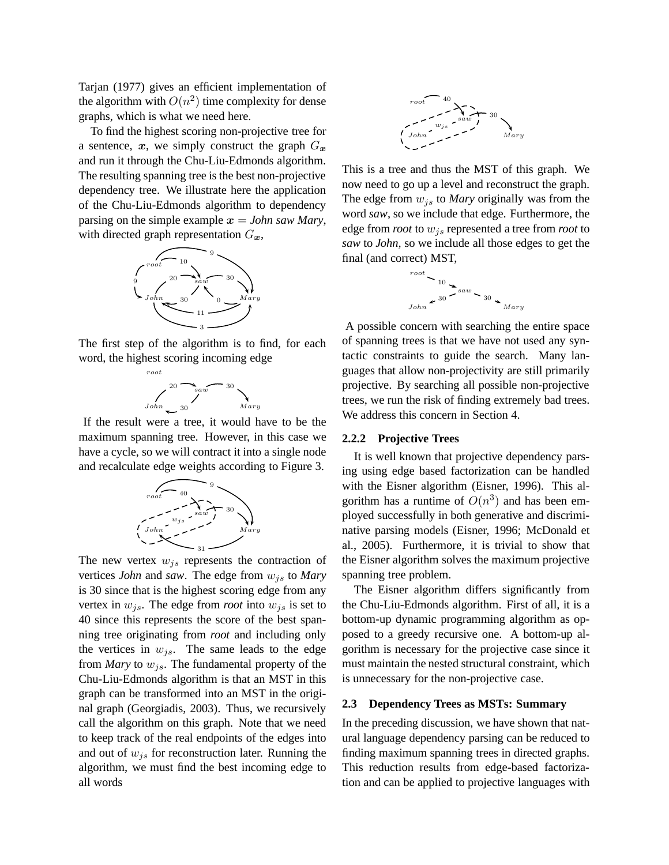Tarjan (1977) gives an efficient implementation of the algorithm with  $O(n^2)$  time complexity for dense graphs, which is what we need here.

To find the highest scoring non-projective tree for a sentence, x, we simply construct the graph  $G_x$ and run it through the Chu-Liu-Edmonds algorithm. The resulting spanning tree is the best non-projective dependency tree. We illustrate here the application of the Chu-Liu-Edmonds algorithm to dependency parsing on the simple example  $x = John saw Mary$ , with directed graph representation  $G_x$ ,



The first step of the algorithm is to find, for each word, the highest scoring incoming edge



If the result were a tree, it would have to be the maximum spanning tree. However, in this case we have a cycle, so we will contract it into a single node and recalculate edge weights according to Figure 3.



The new vertex  $w_{is}$  represents the contraction of vertices *John* and *saw*. The edge from  $w_{js}$  to *Mary* is 30 since that is the highest scoring edge from any vertex in  $w_{js}$ . The edge from *root* into  $w_{js}$  is set to 40 since this represents the score of the best spanning tree originating from *root* and including only the vertices in  $w_{is}$ . The same leads to the edge from *Mary* to  $w_{is}$ . The fundamental property of the Chu-Liu-Edmonds algorithm is that an MST in this graph can be transformed into an MST in the original graph (Georgiadis, 2003). Thus, we recursively call the algorithm on this graph. Note that we need to keep track of the real endpoints of the edges into and out of  $w_{is}$  for reconstruction later. Running the algorithm, we must find the best incoming edge to all words



This is a tree and thus the MST of this graph. We now need to go up a level and reconstruct the graph. The edge from  $w_{is}$  to *Mary* originally was from the word *saw*, so we include that edge. Furthermore, the edge from *root* to wjs represented a tree from *root* to *saw* to *John*, so we include all those edges to get the final (and correct) MST,



A possible concern with searching the entire space of spanning trees is that we have not used any syntactic constraints to guide the search. Many languages that allow non-projectivity are still primarily projective. By searching all possible non-projective trees, we run the risk of finding extremely bad trees. We address this concern in Section 4.

#### **2.2.2 Projective Trees**

It is well known that projective dependency parsing using edge based factorization can be handled with the Eisner algorithm (Eisner, 1996). This algorithm has a runtime of  $O(n^3)$  and has been employed successfully in both generative and discriminative parsing models (Eisner, 1996; McDonald et al., 2005). Furthermore, it is trivial to show that the Eisner algorithm solves the maximum projective spanning tree problem.

The Eisner algorithm differs significantly from the Chu-Liu-Edmonds algorithm. First of all, it is a bottom-up dynamic programming algorithm as opposed to a greedy recursive one. A bottom-up algorithm is necessary for the projective case since it must maintain the nested structural constraint, which is unnecessary for the non-projective case.

#### **2.3 Dependency Trees as MSTs: Summary**

In the preceding discussion, we have shown that natural language dependency parsing can be reduced to finding maximum spanning trees in directed graphs. This reduction results from edge-based factorization and can be applied to projective languages with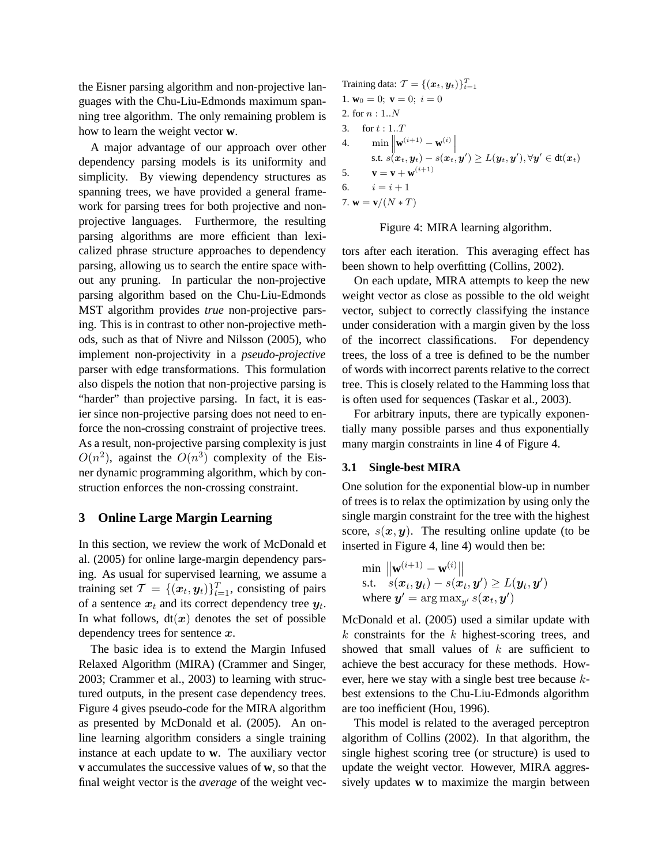the Eisner parsing algorithm and non-projective languages with the Chu-Liu-Edmonds maximum spanning tree algorithm. The only remaining problem is how to learn the weight vector **w**.

A major advantage of our approach over other dependency parsing models is its uniformity and simplicity. By viewing dependency structures as spanning trees, we have provided a general framework for parsing trees for both projective and nonprojective languages. Furthermore, the resulting parsing algorithms are more efficient than lexicalized phrase structure approaches to dependency parsing, allowing us to search the entire space without any pruning. In particular the non-projective parsing algorithm based on the Chu-Liu-Edmonds MST algorithm provides *true* non-projective parsing. This is in contrast to other non-projective methods, such as that of Nivre and Nilsson (2005), who implement non-projectivity in a *pseudo-projective* parser with edge transformations. This formulation also dispels the notion that non-projective parsing is "harder" than projective parsing. In fact, it is easier since non-projective parsing does not need to enforce the non-crossing constraint of projective trees. As a result, non-projective parsing complexity is just  $O(n^2)$ , against the  $O(n^3)$  complexity of the Eisner dynamic programming algorithm, which by construction enforces the non-crossing constraint.

# **3 Online Large Margin Learning**

In this section, we review the work of McDonald et al. (2005) for online large-margin dependency parsing. As usual for supervised learning, we assume a training set  $\mathcal{T} = \{(\boldsymbol{x}_t, \boldsymbol{y}_t)\}_{t=1}^T$ , consisting of pairs of a sentence  $x_t$  and its correct dependency tree  $y_t$ . In what follows,  $dt(x)$  denotes the set of possible dependency trees for sentence  $x$ .

The basic idea is to extend the Margin Infused Relaxed Algorithm (MIRA) (Crammer and Singer, 2003; Crammer et al., 2003) to learning with structured outputs, in the present case dependency trees. Figure 4 gives pseudo-code for the MIRA algorithm as presented by McDonald et al. (2005). An online learning algorithm considers a single training instance at each update to **w**. The auxiliary vector **v** accumulates the successive values of **w**, so that the final weight vector is the *average* of the weight vec-

Training data: 
$$
T = \{(x_t, y_t)\}_{t=1}^T
$$
  
\n1.  $\mathbf{w}_0 = 0; \ \mathbf{v} = 0; \ i = 0$   
\n2. for  $n : 1..N$   
\n3. for  $t : 1..T$   
\n4.  $\min \left\| \mathbf{w}^{(i+1)} - \mathbf{w}^{(i)} \right\|$   
\n $\text{s.t. } s(\mathbf{x}_t, y_t) - s(\mathbf{x}_t, y') \ge L(y_t, y'), \forall y' \in dt(\mathbf{x}_t)$   
\n5.  $\mathbf{v} = \mathbf{v} + \mathbf{w}^{(i+1)}$   
\n6.  $i = i + 1$   
\n7.  $\mathbf{w} = \mathbf{v}/(N * T)$ 



tors after each iteration. This averaging effect has been shown to help overfitting (Collins, 2002).

On each update, MIRA attempts to keep the new weight vector as close as possible to the old weight vector, subject to correctly classifying the instance under consideration with a margin given by the loss of the incorrect classifications. For dependency trees, the loss of a tree is defined to be the number of words with incorrect parents relative to the correct tree. This is closely related to the Hamming loss that is often used for sequences (Taskar et al., 2003).

For arbitrary inputs, there are typically exponentially many possible parses and thus exponentially many margin constraints in line 4 of Figure 4.

#### **3.1 Single-best MIRA**

One solution for the exponential blow-up in number of trees is to relax the optimization by using only the single margin constraint for the tree with the highest score,  $s(x, y)$ . The resulting online update (to be inserted in Figure 4, line 4) would then be:

$$
\min_{\mathbf{S} \in \mathbf{S}} \frac{\|\mathbf{w}^{(i+1)} - \mathbf{w}^{(i)}\|}{s.t. \quad s(\mathbf{x}_t, \mathbf{y}_t) - s(\mathbf{x}_t, \mathbf{y}') \ge L(\mathbf{y}_t, \mathbf{y}')}
$$
\nwhere  $\mathbf{y}' = \arg \max_{\mathbf{y}'} s(\mathbf{x}_t, \mathbf{y}')$ 

McDonald et al. (2005) used a similar update with  $k$  constraints for the  $k$  highest-scoring trees, and showed that small values of  $k$  are sufficient to achieve the best accuracy for these methods. However, here we stay with a single best tree because kbest extensions to the Chu-Liu-Edmonds algorithm are too inefficient (Hou, 1996).

This model is related to the averaged perceptron algorithm of Collins (2002). In that algorithm, the single highest scoring tree (or structure) is used to update the weight vector. However, MIRA aggressively updates **w** to maximize the margin between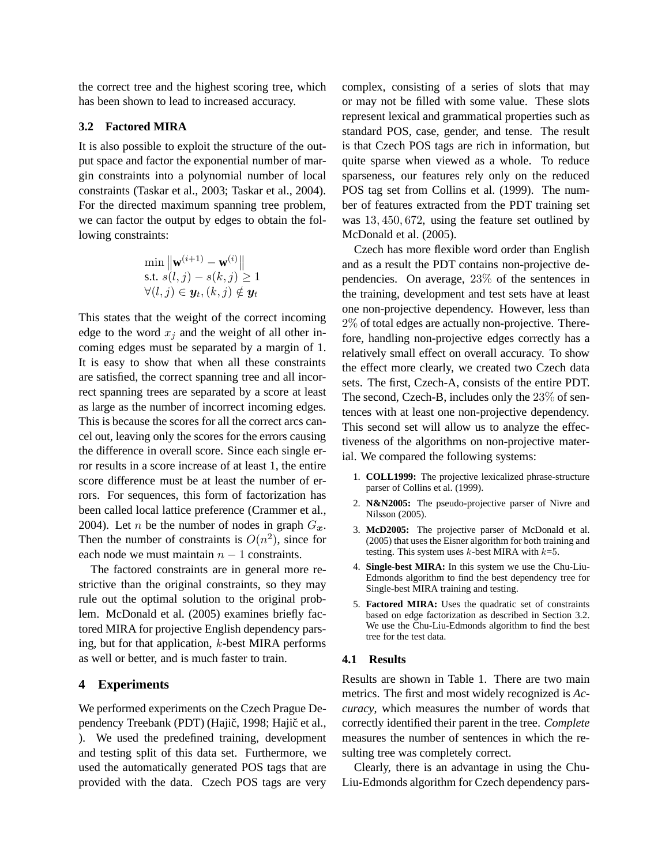the correct tree and the highest scoring tree, which has been shown to lead to increased accuracy.

## **3.2 Factored MIRA**

It is also possible to exploit the structure of the output space and factor the exponential number of margin constraints into a polynomial number of local constraints (Taskar et al., 2003; Taskar et al., 2004). For the directed maximum spanning tree problem, we can factor the output by edges to obtain the following constraints:

$$
\min_{\mathbf{w}} \|\mathbf{w}^{(i+1)} - \mathbf{w}^{(i)}\|
$$
\ns.t.  $s(l, j) - s(k, j) \ge 1$   
\n $\forall (l, j) \in \mathbf{y}_t, (k, j) \notin \mathbf{y}_t$ 

This states that the weight of the correct incoming edge to the word  $x_i$  and the weight of all other incoming edges must be separated by a margin of 1. It is easy to show that when all these constraints are satisfied, the correct spanning tree and all incorrect spanning trees are separated by a score at least as large as the number of incorrect incoming edges. This is because the scores for all the correct arcs cancel out, leaving only the scores for the errors causing the difference in overall score. Since each single error results in a score increase of at least 1, the entire score difference must be at least the number of errors. For sequences, this form of factorization has been called local lattice preference (Crammer et al., 2004). Let *n* be the number of nodes in graph  $G_x$ . Then the number of constraints is  $O(n^2)$ , since for each node we must maintain  $n - 1$  constraints.

The factored constraints are in general more restrictive than the original constraints, so they may rule out the optimal solution to the original problem. McDonald et al. (2005) examines briefly factored MIRA for projective English dependency parsing, but for that application, k-best MIRA performs as well or better, and is much faster to train.

## **4 Experiments**

We performed experiments on the Czech Prague Dependency Treebank (PDT) (Hajič, 1998; Hajič et al., ). We used the predefined training, development and testing split of this data set. Furthermore, we used the automatically generated POS tags that are provided with the data. Czech POS tags are very

complex, consisting of a series of slots that may or may not be filled with some value. These slots represent lexical and grammatical properties such as standard POS, case, gender, and tense. The result is that Czech POS tags are rich in information, but quite sparse when viewed as a whole. To reduce sparseness, our features rely only on the reduced POS tag set from Collins et al. (1999). The number of features extracted from the PDT training set was 13, 450, 672, using the feature set outlined by McDonald et al. (2005).

Czech has more flexible word order than English and as a result the PDT contains non-projective dependencies. On average, 23% of the sentences in the training, development and test sets have at least one non-projective dependency. However, less than 2% of total edges are actually non-projective. Therefore, handling non-projective edges correctly has a relatively small effect on overall accuracy. To show the effect more clearly, we created two Czech data sets. The first, Czech-A, consists of the entire PDT. The second, Czech-B, includes only the 23% of sentences with at least one non-projective dependency. This second set will allow us to analyze the effectiveness of the algorithms on non-projective material. We compared the following systems:

- 1. **COLL1999:** The projective lexicalized phrase-structure parser of Collins et al. (1999).
- 2. **N&N2005:** The pseudo-projective parser of Nivre and Nilsson (2005).
- 3. **McD2005:** The projective parser of McDonald et al. (2005) that uses the Eisner algorithm for both training and testing. This system uses  $k$ -best MIRA with  $k=5$ .
- 4. **Single-best MIRA:** In this system we use the Chu-Liu-Edmonds algorithm to find the best dependency tree for Single-best MIRA training and testing.
- 5. **Factored MIRA:** Uses the quadratic set of constraints based on edge factorization as described in Section 3.2. We use the Chu-Liu-Edmonds algorithm to find the best tree for the test data.

#### **4.1 Results**

Results are shown in Table 1. There are two main metrics. The first and most widely recognized is *Accuracy*, which measures the number of words that correctly identified their parent in the tree. *Complete* measures the number of sentences in which the resulting tree was completely correct.

Clearly, there is an advantage in using the Chu-Liu-Edmonds algorithm for Czech dependency pars-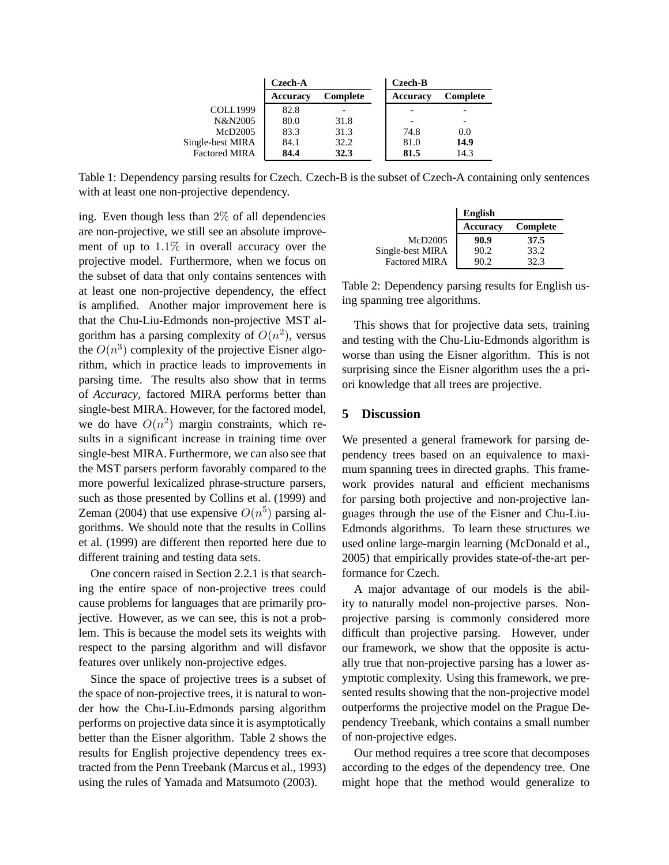|                      | Czech-A         |          | Czech-B  |          |  |
|----------------------|-----------------|----------|----------|----------|--|
|                      | <b>Accuracy</b> | Complete | Accuracy | Complete |  |
| <b>COLL1999</b>      | 82.8            |          |          |          |  |
| N&N2005              | 80.0            | 31.8     |          |          |  |
| McD2005              | 83.3            | 31.3     | 74.8     | 0.0      |  |
| Single-best MIRA     | 84.1            | 32.2     | 81.0     | 14.9     |  |
| <b>Factored MIRA</b> | 84.4            | 32.3     | 81.5     | 14.3     |  |

Table 1: Dependency parsing results for Czech. Czech-B is the subset of Czech-A containing only sentences with at least one non-projective dependency.

ing. Even though less than  $2\%$  of all dependencies are non-projective, we still see an absolute improvement of up to 1.1% in overall accuracy over the projective model. Furthermore, when we focus on the subset of data that only contains sentences with at least one non-projective dependency, the effect is amplified. Another major improvement here is that the Chu-Liu-Edmonds non-projective MST algorithm has a parsing complexity of  $O(n^2)$ , versus the  $O(n^3)$  complexity of the projective Eisner algorithm, which in practice leads to improvements in parsing time. The results also show that in terms of *Accuracy*, factored MIRA performs better than single-best MIRA. However, for the factored model, we do have  $O(n^2)$  margin constraints, which results in a significant increase in training time over single-best MIRA. Furthermore, we can also see that the MST parsers perform favorably compared to the more powerful lexicalized phrase-structure parsers, such as those presented by Collins et al. (1999) and Zeman (2004) that use expensive  $O(n^5)$  parsing algorithms. We should note that the results in Collins et al. (1999) are different then reported here due to different training and testing data sets.

One concern raised in Section 2.2.1 is that searching the entire space of non-projective trees could cause problems for languages that are primarily projective. However, as we can see, this is not a problem. This is because the model sets its weights with respect to the parsing algorithm and will disfavor features over unlikely non-projective edges.

Since the space of projective trees is a subset of the space of non-projective trees, it is natural to wonder how the Chu-Liu-Edmonds parsing algorithm performs on projective data since it is asymptotically better than the Eisner algorithm. Table 2 shows the results for English projective dependency trees extracted from the Penn Treebank (Marcus et al., 1993) using the rules of Yamada and Matsumoto (2003).

|                      | <b>English</b>  |          |  |
|----------------------|-----------------|----------|--|
|                      | <b>Accuracy</b> | Complete |  |
| McD2005              | 90.9            | 37.5     |  |
| Single-best MIRA     | 90.2            | 33.2     |  |
| <b>Factored MIRA</b> | 90.2            | 32.3     |  |

Table 2: Dependency parsing results for English using spanning tree algorithms.

This shows that for projective data sets, training and testing with the Chu-Liu-Edmonds algorithm is worse than using the Eisner algorithm. This is not surprising since the Eisner algorithm uses the a priori knowledge that all trees are projective.

## **5 Discussion**

We presented a general framework for parsing dependency trees based on an equivalence to maximum spanning trees in directed graphs. This framework provides natural and efficient mechanisms for parsing both projective and non-projective languages through the use of the Eisner and Chu-Liu-Edmonds algorithms. To learn these structures we used online large-margin learning (McDonald et al., 2005) that empirically provides state-of-the-art performance for Czech.

A major advantage of our models is the ability to naturally model non-projective parses. Nonprojective parsing is commonly considered more difficult than projective parsing. However, under our framework, we show that the opposite is actually true that non-projective parsing has a lower asymptotic complexity. Using this framework, we presented results showing that the non-projective model outperforms the projective model on the Prague Dependency Treebank, which contains a small number of non-projective edges.

Our method requires a tree score that decomposes according to the edges of the dependency tree. One might hope that the method would generalize to